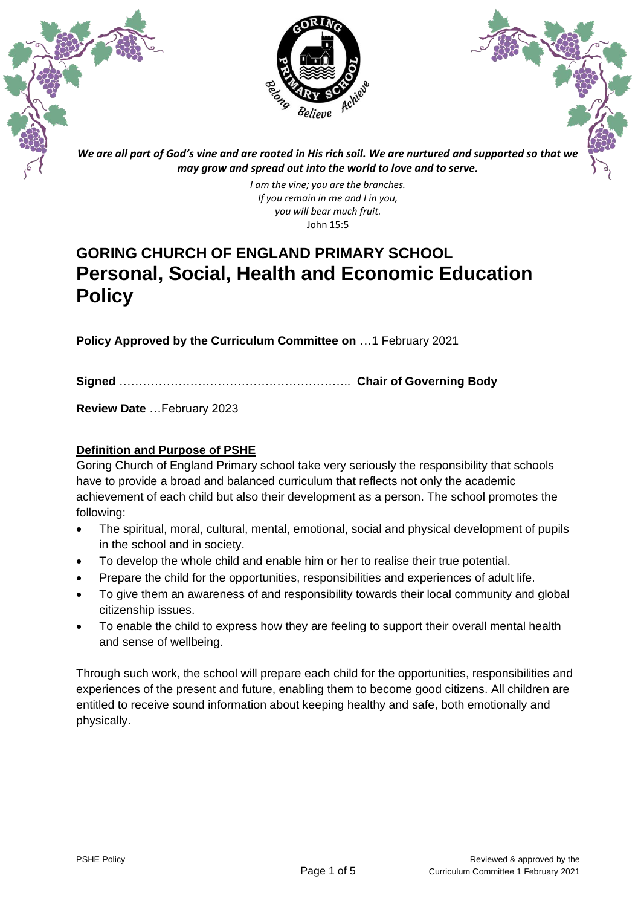



*We are all part of God's vine and are rooted in His rich soil. We are nurtured and supported so that we may grow and spread out into the world to love and to serve.*

> *I am the vine; you are the branches. If you remain in me and I in you, you will bear much fruit.* John 15:5

# **GORING CHURCH OF ENGLAND PRIMARY SCHOOL Personal, Social, Health and Economic Education Policy**

**Policy Approved by the Curriculum Committee on** …1 February 2021

**Signed** ………………………………………………….. **Chair of Governing Body**

**Review Date** …February 2023

# **Definition and Purpose of PSHE**

Goring Church of England Primary school take very seriously the responsibility that schools have to provide a broad and balanced curriculum that reflects not only the academic achievement of each child but also their development as a person. The school promotes the following:

- The spiritual, moral, cultural, mental, emotional, social and physical development of pupils in the school and in society.
- To develop the whole child and enable him or her to realise their true potential.
- Prepare the child for the opportunities, responsibilities and experiences of adult life.
- To give them an awareness of and responsibility towards their local community and global citizenship issues.
- To enable the child to express how they are feeling to support their overall mental health and sense of wellbeing.

Through such work, the school will prepare each child for the opportunities, responsibilities and experiences of the present and future, enabling them to become good citizens. All children are entitled to receive sound information about keeping healthy and safe, both emotionally and physically.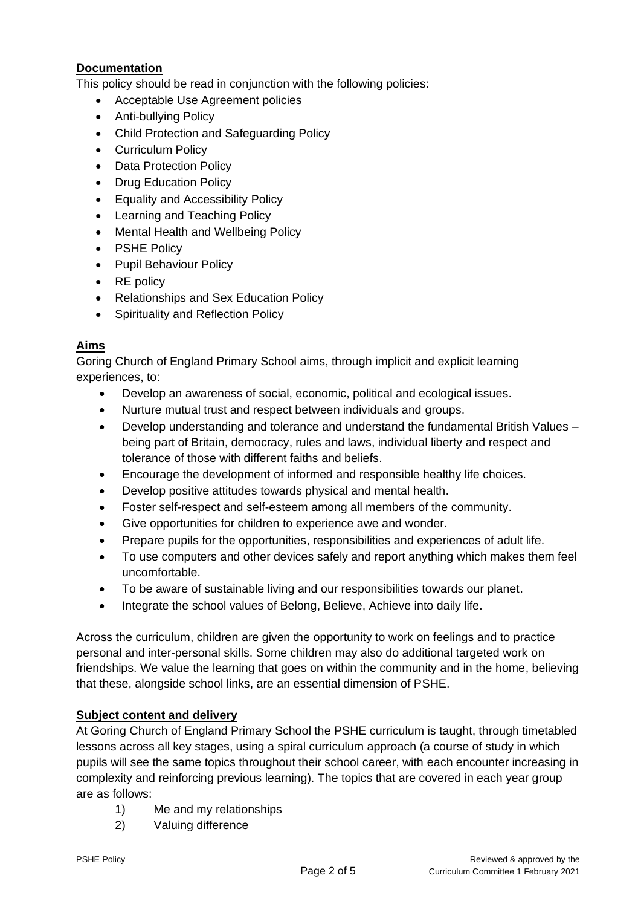# **Documentation**

This policy should be read in conjunction with the following policies:

- Acceptable Use Agreement policies
- Anti-bullying Policy
- Child Protection and Safeguarding Policy
- Curriculum Policy
- Data Protection Policy
- Drug Education Policy
- Equality and Accessibility Policy
- Learning and Teaching Policy
- Mental Health and Wellbeing Policy
- PSHE Policy
- Pupil Behaviour Policy
- RE policy
- Relationships and Sex Education Policy
- Spirituality and Reflection Policy

# **Aims**

Goring Church of England Primary School aims, through implicit and explicit learning experiences, to:

- Develop an awareness of social, economic, political and ecological issues.
- Nurture mutual trust and respect between individuals and groups.
- Develop understanding and tolerance and understand the fundamental British Values being part of Britain, democracy, rules and laws, individual liberty and respect and tolerance of those with different faiths and beliefs.
- Encourage the development of informed and responsible healthy life choices.
- Develop positive attitudes towards physical and mental health.
- Foster self-respect and self-esteem among all members of the community.
- Give opportunities for children to experience awe and wonder.
- Prepare pupils for the opportunities, responsibilities and experiences of adult life.
- To use computers and other devices safely and report anything which makes them feel uncomfortable.
- To be aware of sustainable living and our responsibilities towards our planet.
- Integrate the school values of Belong, Believe, Achieve into daily life.

Across the curriculum, children are given the opportunity to work on feelings and to practice personal and inter-personal skills. Some children may also do additional targeted work on friendships. We value the learning that goes on within the community and in the home, believing that these, alongside school links, are an essential dimension of PSHE.

## **Subject content and delivery**

At Goring Church of England Primary School the PSHE curriculum is taught, through timetabled lessons across all key stages, using a spiral curriculum approach (a course of study in which pupils will see the same topics throughout their school career, with each encounter increasing in complexity and reinforcing previous learning). The topics that are covered in each year group are as follows:

- 1) Me and my relationships
- 2) Valuing difference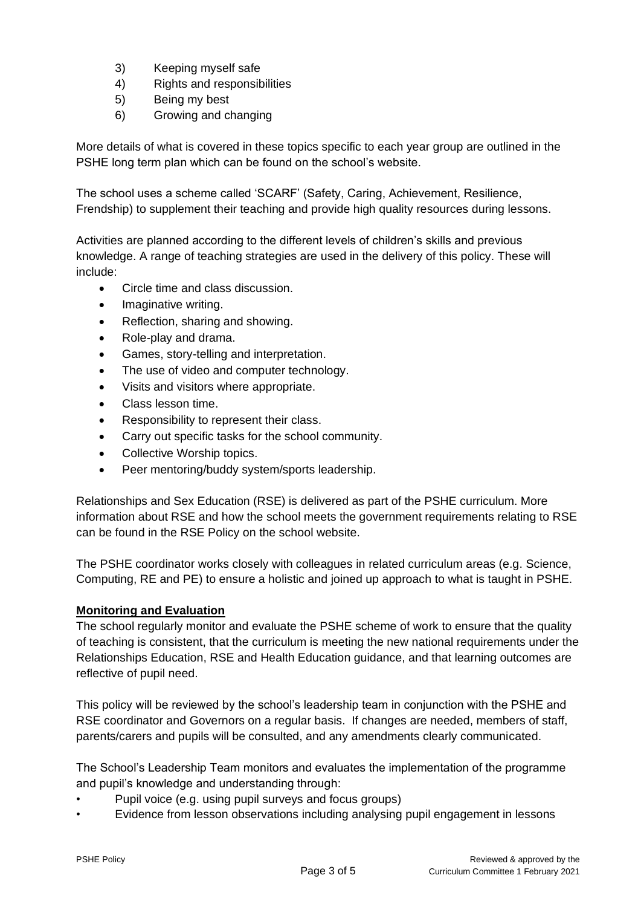- 3) Keeping myself safe
- 4) Rights and responsibilities
- 5) Being my best
- 6) Growing and changing

More details of what is covered in these topics specific to each year group are outlined in the PSHE long term plan which can be found on the school's website.

The school uses a scheme called 'SCARF' (Safety, Caring, Achievement, Resilience, Frendship) to supplement their teaching and provide high quality resources during lessons.

Activities are planned according to the different levels of children's skills and previous knowledge. A range of teaching strategies are used in the delivery of this policy. These will include:

- Circle time and class discussion.
- Imaginative writing.
- Reflection, sharing and showing.
- Role-play and drama.
- Games, story-telling and interpretation.
- The use of video and computer technology.
- Visits and visitors where appropriate.
- Class lesson time.
- Responsibility to represent their class.
- Carry out specific tasks for the school community.
- Collective Worship topics.
- Peer mentoring/buddy system/sports leadership.

Relationships and Sex Education (RSE) is delivered as part of the PSHE curriculum. More information about RSE and how the school meets the government requirements relating to RSE can be found in the RSE Policy on the school website.

The PSHE coordinator works closely with colleagues in related curriculum areas (e.g. Science, Computing, RE and PE) to ensure a holistic and joined up approach to what is taught in PSHE.

## **Monitoring and Evaluation**

The school regularly monitor and evaluate the PSHE scheme of work to ensure that the quality of teaching is consistent, that the curriculum is meeting the new national requirements under the Relationships Education, RSE and Health Education guidance, and that learning outcomes are reflective of pupil need.

This policy will be reviewed by the school's leadership team in conjunction with the PSHE and RSE coordinator and Governors on a regular basis. If changes are needed, members of staff, parents/carers and pupils will be consulted, and any amendments clearly communicated.

The School's Leadership Team monitors and evaluates the implementation of the programme and pupil's knowledge and understanding through:

- Pupil voice (e.g. using pupil surveys and focus groups)
- Evidence from lesson observations including analysing pupil engagement in lessons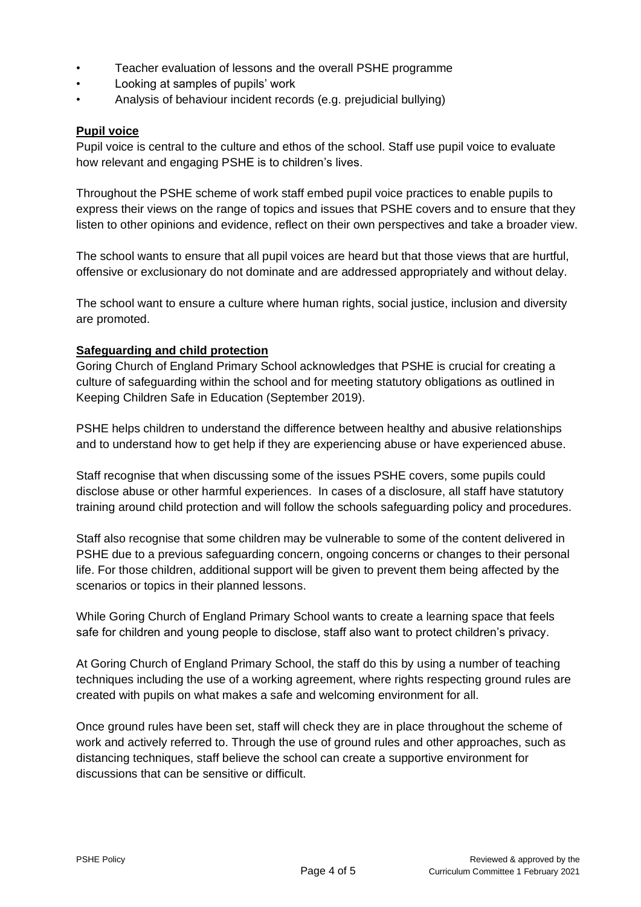- Teacher evaluation of lessons and the overall PSHE programme
- Looking at samples of pupils' work
- Analysis of behaviour incident records (e.g. prejudicial bullying)

## **Pupil voice**

Pupil voice is central to the culture and ethos of the school. Staff use pupil voice to evaluate how relevant and engaging PSHE is to children's lives.

Throughout the PSHE scheme of work staff embed pupil voice practices to enable pupils to express their views on the range of topics and issues that PSHE covers and to ensure that they listen to other opinions and evidence, reflect on their own perspectives and take a broader view.

The school wants to ensure that all pupil voices are heard but that those views that are hurtful, offensive or exclusionary do not dominate and are addressed appropriately and without delay.

The school want to ensure a culture where human rights, social justice, inclusion and diversity are promoted.

## **Safeguarding and child protection**

Goring Church of England Primary School acknowledges that PSHE is crucial for creating a culture of safeguarding within the school and for meeting statutory obligations as outlined in Keeping Children Safe in Education (September 2019).

PSHE helps children to understand the difference between healthy and abusive relationships and to understand how to get help if they are experiencing abuse or have experienced abuse.

Staff recognise that when discussing some of the issues PSHE covers, some pupils could disclose abuse or other harmful experiences. In cases of a disclosure, all staff have statutory training around child protection and will follow the schools safeguarding policy and procedures.

Staff also recognise that some children may be vulnerable to some of the content delivered in PSHE due to a previous safeguarding concern, ongoing concerns or changes to their personal life. For those children, additional support will be given to prevent them being affected by the scenarios or topics in their planned lessons.

While Goring Church of England Primary School wants to create a learning space that feels safe for children and young people to disclose, staff also want to protect children's privacy.

At Goring Church of England Primary School, the staff do this by using a number of teaching techniques including the use of a working agreement, where rights respecting ground rules are created with pupils on what makes a safe and welcoming environment for all.

Once ground rules have been set, staff will check they are in place throughout the scheme of work and actively referred to. Through the use of ground rules and other approaches, such as distancing techniques, staff believe the school can create a supportive environment for discussions that can be sensitive or difficult.